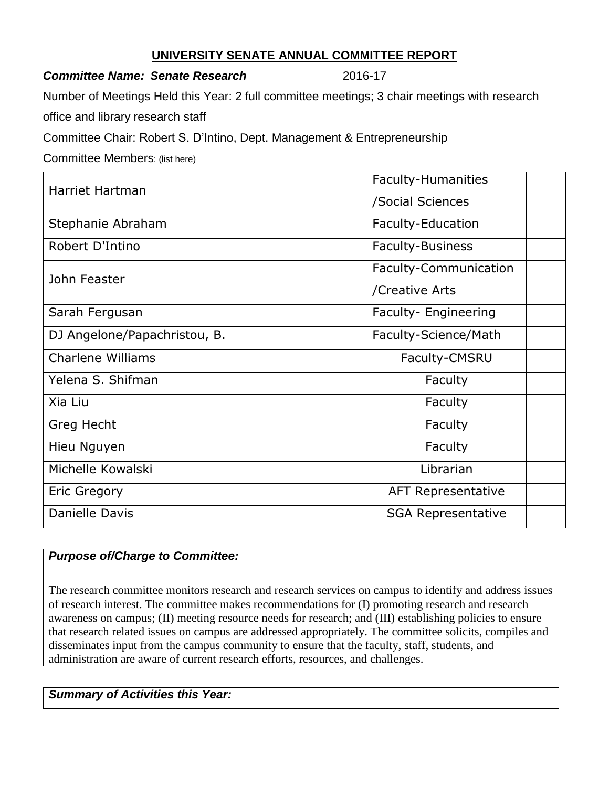## **UNIVERSITY SENATE ANNUAL COMMITTEE REPORT**

### **Committee Name: Senate Research 2016-17**

Number of Meetings Held this Year: 2 full committee meetings; 3 chair meetings with research

office and library research staff

Committee Chair: Robert S. D'Intino, Dept. Management & Entrepreneurship

Committee Members: (list here)

| <b>Harriet Hartman</b>       | <b>Faculty-Humanities</b> |
|------------------------------|---------------------------|
|                              | /Social Sciences          |
| Stephanie Abraham            | Faculty-Education         |
| Robert D'Intino              | <b>Faculty-Business</b>   |
| John Feaster                 | Faculty-Communication     |
|                              | /Creative Arts            |
| Sarah Fergusan               | Faculty- Engineering      |
| DJ Angelone/Papachristou, B. | Faculty-Science/Math      |
| <b>Charlene Williams</b>     | Faculty-CMSRU             |
| Yelena S. Shifman            | Faculty                   |
| Xia Liu                      | Faculty                   |
| Greg Hecht                   | Faculty                   |
| Hieu Nguyen                  | Faculty                   |
| Michelle Kowalski            | Librarian                 |
| <b>Eric Gregory</b>          | <b>AFT Representative</b> |
| <b>Danielle Davis</b>        | <b>SGA Representative</b> |

# *Purpose of/Charge to Committee:*

The research committee monitors research and research services on campus to identify and address issues of research interest. The committee makes recommendations for (I) promoting research and research awareness on campus; (II) meeting resource needs for research; and (III) establishing policies to ensure that research related issues on campus are addressed appropriately. The committee solicits, compiles and disseminates input from the campus community to ensure that the faculty, staff, students, and administration are aware of current research efforts, resources, and challenges.

# *Summary of Activities this Year:*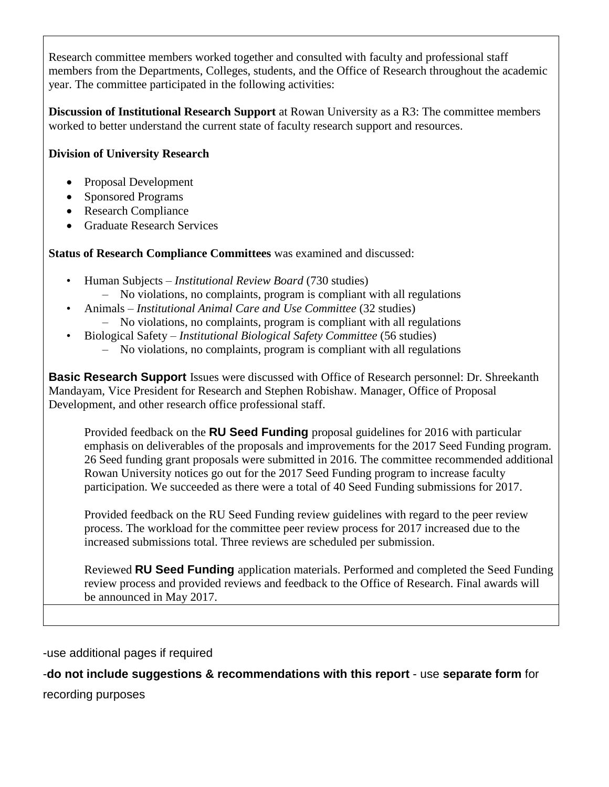Research committee members worked together and consulted with faculty and professional staff members from the Departments, Colleges, students, and the Office of Research throughout the academic year. The committee participated in the following activities:

**Discussion of Institutional Research Support** at Rowan University as a R3: The committee members worked to better understand the current state of faculty research support and resources.

# **Division of University Research**

- Proposal Development
- Sponsored Programs
- Research Compliance
- Graduate Research Services

**Status of Research Compliance Committees** was examined and discussed:

- Human Subjects *Institutional Review Board* (730 studies)
	- No violations, no complaints, program is compliant with all regulations
- Animals *Institutional Animal Care and Use Committee* (32 studies)
	- No violations, no complaints, program is compliant with all regulations
- Biological Safety *Institutional Biological Safety Committee* (56 studies)
	- No violations, no complaints, program is compliant with all regulations

**Basic Research Support** Issues were discussed with Office of Research personnel: Dr. Shreekanth Mandayam, Vice President for Research and Stephen Robishaw. Manager, Office of Proposal Development, and other research office professional staff.

Provided feedback on the **RU Seed Funding** proposal guidelines for 2016 with particular emphasis on deliverables of the proposals and improvements for the 2017 Seed Funding program. 26 Seed funding grant proposals were submitted in 2016. The committee recommended additional Rowan University notices go out for the 2017 Seed Funding program to increase faculty participation. We succeeded as there were a total of 40 Seed Funding submissions for 2017.

Provided feedback on the RU Seed Funding review guidelines with regard to the peer review process. The workload for the committee peer review process for 2017 increased due to the increased submissions total. Three reviews are scheduled per submission.

Reviewed **RU Seed Funding** application materials. Performed and completed the Seed Funding review process and provided reviews and feedback to the Office of Research. Final awards will be announced in May 2017.

-use additional pages if required

# -**do not include suggestions & recommendations with this report** - use **separate form** for

recording purposes